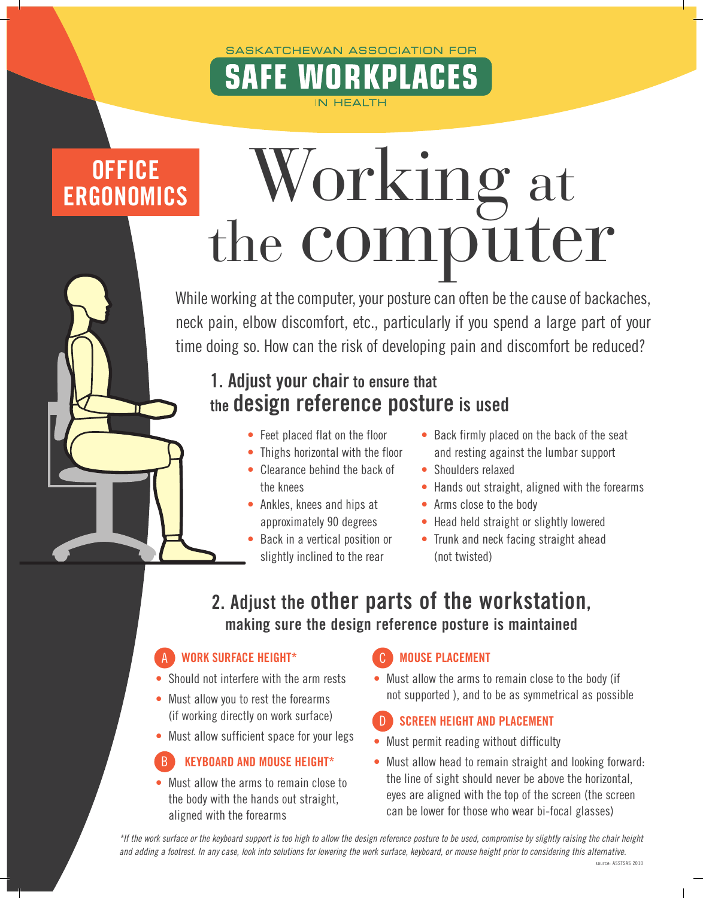### SASKATCHEWAN ASSOCIATION FOR

**IN HEALTH** 

# **OFFICE ERGONOMICS**

# Working at the computer

A

While working at the computer, your posture can often be the cause of backaches, neck pain, elbow discomfort, etc., particularly if you spend a large part of your time doing so. How can the risk of developing pain and discomfort be reduced?

# 1. Adjust your chair to ensure that the design reference posture is used

- Feet placed flat on the floor
- Thighs horizontal with the floor
- Clearance behind the back of the knees
- Ankles, knees and hips at approximately 90 degrees
- Back in a vertical position or slightly inclined to the rear
- Back firmly placed on the back of the seat and resting against the lumbar support
- Shoulders relaxed
- Hands out straight, aligned with the forearms
- Arms close to the body
- Head held straight or slightly lowered
- Trunk and neck facing straight ahead (not twisted)

## 2. Adjust the other parts of the workstation, making sure the design reference posture is maintained

#### WORK SURFACE HEIGHT\* A

- Should not interfere with the arm rests
- Must allow you to rest the forearms (if working directly on work surface)
- Must allow sufficient space for your legs

#### KEYBOARD AND MOUSE HEIGHT\* B

• Must allow the arms to remain close to the body with the hands out straight, aligned with the forearms

#### MOUSE PLACEMENT C

• Must allow the arms to remain close to the body (if not supported ), and to be as symmetrical as possible

#### SCREEN HEIGHT AND PLACEMENT D

- Must permit reading without difficulty
- Must allow head to remain straight and looking forward: the line of sight should never be above the horizontal, eyes are aligned with the top of the screen (the screen can be lower for those who wear bi-focal glasses)

*\*If the work surface or the keyboard support is too high to allow the design reference posture to be used, compromise by slightly raising the chair height and adding a footrest. In any case, look into solutions for lowering the work surface, keyboard, or mouse height prior to considering this alternative.*